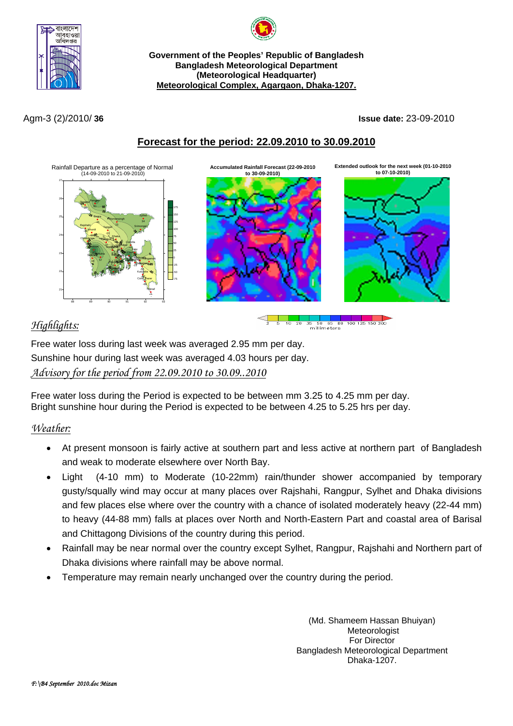



**Government of the Peoples' Republic of Bangladesh Bangladesh Meteorological Department (Meteorological Headquarter) Meteorological Complex, Agargaon, Dhaka-1207.**

Agm-3 (2)/2010/ **36 Issue date:** 23-09-2010

## **Forecast for the period: 22.09.2010 to 30.09.2010**



# *Highlights:*

Free water loss during last week was averaged 2.95 mm per day. Sunshine hour during last week was averaged 4.03 hours per day. *Advisory for the period from 22.09.2010 to 30.09..2010*

Free water loss during the Period is expected to be between mm 3.25 to 4.25 mm per day. Bright sunshine hour during the Period is expected to be between 4.25 to 5.25 hrs per day.

## *Weather:*

- At present monsoon is fairly active at southern part and less active at northern part of Bangladesh and weak to moderate elsewhere over North Bay.
- Light (4-10 mm) to Moderate (10-22mm) rain/thunder shower accompanied by temporary gusty/squally wind may occur at many places over Rajshahi, Rangpur, Sylhet and Dhaka divisions and few places else where over the country with a chance of isolated moderately heavy (22-44 mm) to heavy (44-88 mm) falls at places over North and North-Eastern Part and coastal area of Barisal and Chittagong Divisions of the country during this period.
- Rainfall may be near normal over the country except Sylhet, Rangpur, Rajshahi and Northern part of Dhaka divisions where rainfall may be above normal.
- Temperature may remain nearly unchanged over the country during the period.

(Md. Shameem Hassan Bhuiyan) Meteorologist For Director Bangladesh Meteorological Department Dhaka-1207.

65 80 100 125 150 200

millimeters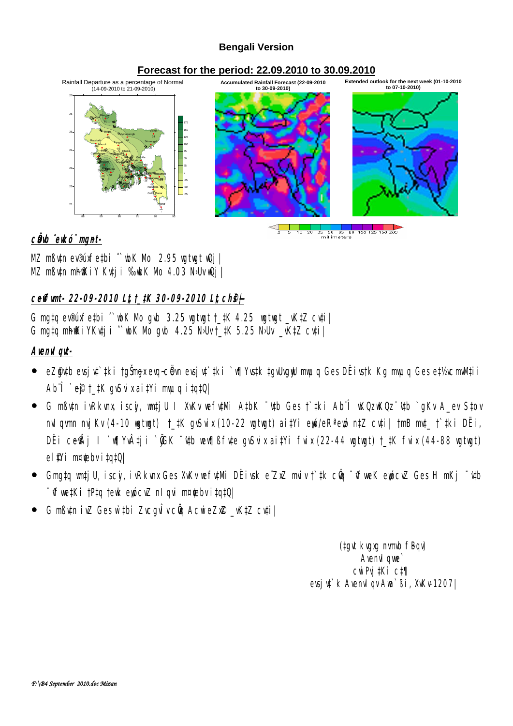### **Bengali Version**

## **Forecast for the period: 22.09.2010 to 30.09.2010**



c**Öb** ̂ekó¨ mgnt-

MZ mßv‡n ev®úxfe‡bi ˆ`wbK Mo 2.95 wgtwgt wQj| MZ mßutn mh@KiY Kutji %bK Mb 4.03 N·Uv wQj

## **ceffunt- 22-09-2010 Lt t\_#K 30-09-2010 Lt ch@** $\neq$

G mg‡q ev®úxfe‡bi  $\degree$  wh K Nb gwb 3.25 wgtwgt  $\pm$ ‡K 4.25 wgtwgt  $\pm$ W<sub>t</sub>Z cv‡i G mgtq mhikiyKvtji  $\degree$  wk Nb gvb 4.25 NbVt\_tK 5.25 NbV \_vKtZ cvti

## **AvenvIqvt-**

- eZ@ytb evsjyt`#ki †gŠmaxevq~cÖvn evsjyt`#ki `v¶Yvs#k ‡gyUvgyW myuq Ges DËivs†k Kg myuq Ges e‡½xcmlWtii Ab¨Î `e®†\_‡K gvSuixai‡Yi mwq i‡q‡Q|
- G mßytn ivRkvnx iscyi, wntjU I XvKv wefytMi A‡bK <sup>−</sup>'ytb Ges †`#ki Ab¨Î wKQz wKQz <sup>−</sup>'ytb `gKv A\_ev S‡ov nvIgym nvjKv (4-10 wgtwgt) †\_#K gySvix (10-22 wgtwgt) ai#Yi ewó/eRªewó n#Z cyti| †mB md\_ †`#ki DËi, DËi ceŴj I `v¶YvÂtji `@K ~\th wew¶ßfvte gvSvix aitYi fvix (22-44 wgtwgt) †\_‡K fvix (44-88 wgtwgt) el **Wi m¤ebvitatQ**
- $\bullet$  Gmg‡q watjU, iscy, ivRkvnx Ges XvKv wefytMi DËivsk e ZxZ maiv † ‡k cÖq  $\bar{\bullet}$ vfweK eyócvZ Ges H mKj  $\bar{\bullet}$ ytb <sup>-</sup> Vfwe‡Ki †P‡q †ewk ewicvZ nIqvi m¤¢ebv i‡q‡Q|
- G mßutn iuZ Ges with zucgu troch Acwiezn@ \_wktZ cutil

(tgvt kvgxg mmb fBqv) **Avenvil que** cwiPwitKi ct¶ evsju<sup>t</sup> k AvenuI gv Aua`ßi, XvKv-1207|